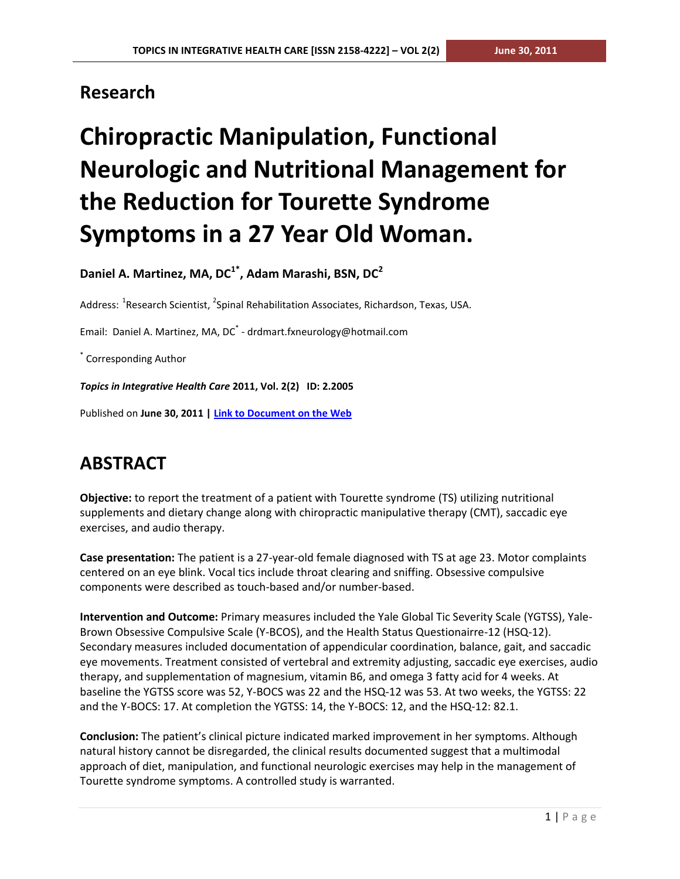### **Research**

# **Chiropractic Manipulation, Functional Neurologic and Nutritional Management for the Reduction for Tourette Syndrome Symptoms in a 27 Year Old Woman.**

**Daniel A. Martinez, MA, DC1\* , Adam Marashi, BSN, DC<sup>2</sup>**

Address: <sup>1</sup>Research Scientist, <sup>2</sup>Spinal Rehabilitation Associates, Richardson, Texas, USA.

Email: Daniel A. Martinez, MA, DC<sup>\*</sup> - drdmart.fxneurology@hotmail.com

\* Corresponding Author

*Topics in Integrative Health Care* **2011, Vol. 2(2) ID: 2.2005**

Published on **June 30, 2011 [| Link to Document on the Web](http://www.tihcij.com/Articles/Chiropractic-Manipulation-Functional-Neurologic-and-Nutritional-Management-for-the-Reduction-for-Tourette-Syndrome-Symptoms-in-a-27-Year-Old-Woman.aspx?id=0000279)**

# **ABSTRACT**

**Objective:** to report the treatment of a patient with Tourette syndrome (TS) utilizing nutritional supplements and dietary change along with chiropractic manipulative therapy (CMT), saccadic eye exercises, and audio therapy.

**Case presentation:** The patient is a 27-year-old female diagnosed with TS at age 23. Motor complaints centered on an eye blink. Vocal tics include throat clearing and sniffing. Obsessive compulsive components were described as touch-based and/or number-based.

**Intervention and Outcome:** Primary measures included the Yale Global Tic Severity Scale (YGTSS), Yale-Brown Obsessive Compulsive Scale (Y-BCOS), and the Health Status Questionairre-12 (HSQ-12). Secondary measures included documentation of appendicular coordination, balance, gait, and saccadic eye movements. Treatment consisted of vertebral and extremity adjusting, saccadic eye exercises, audio therapy, and supplementation of magnesium, vitamin B6, and omega 3 fatty acid for 4 weeks. At baseline the YGTSS score was 52, Y-BOCS was 22 and the HSQ-12 was 53. At two weeks, the YGTSS: 22 and the Y-BOCS: 17. At completion the YGTSS: 14, the Y-BOCS: 12, and the HSQ-12: 82.1.

**Conclusion:** The patient's clinical picture indicated marked improvement in her symptoms. Although natural history cannot be disregarded, the clinical results documented suggest that a multimodal approach of diet, manipulation, and functional neurologic exercises may help in the management of Tourette syndrome symptoms. A controlled study is warranted.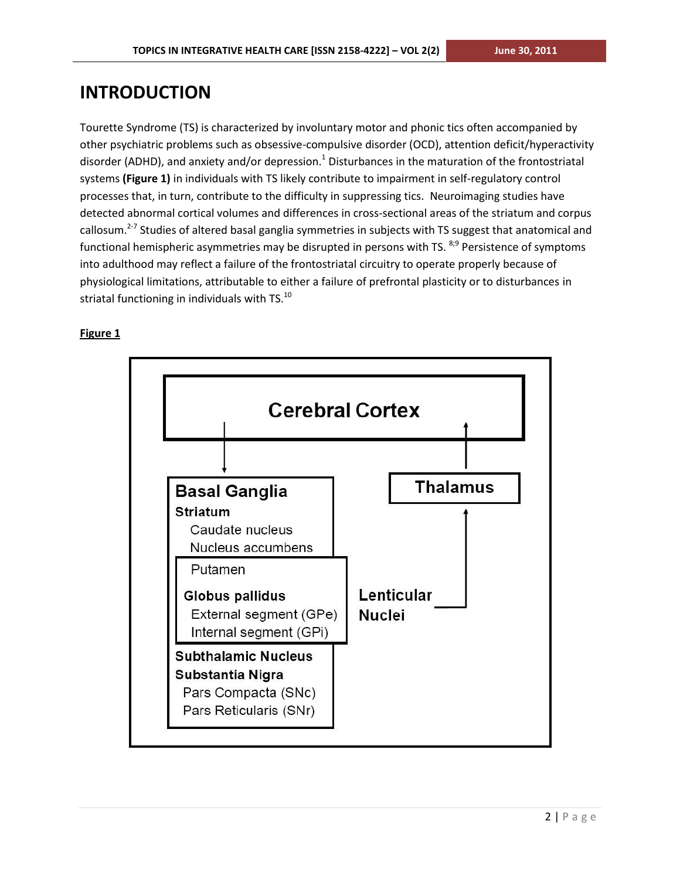### **INTRODUCTION**

Tourette Syndrome (TS) is characterized by involuntary motor and phonic tics often accompanied by other psychiatric problems such as obsessive-compulsive disorder (OCD), attention deficit/hyperactivity disorder (ADHD), and anxiety and/or depression.<sup>1</sup> Disturbances in the maturation of the frontostriatal systems **(Figure 1)** in individuals with TS likely contribute to impairment in self-regulatory control processes that, in turn, contribute to the difficulty in suppressing tics. Neuroimaging studies have detected abnormal cortical volumes and differences in cross-sectional areas of the striatum and corpus callosum.<sup>2-7</sup> Studies of altered basal ganglia symmetries in subjects with TS suggest that anatomical and functional hemispheric asymmetries may be disrupted in persons with TS. <sup>8;9</sup> Persistence of symptoms into adulthood may reflect a failure of the frontostriatal circuitry to operate properly because of physiological limitations, attributable to either a failure of prefrontal plasticity or to disturbances in striatal functioning in individuals with TS.<sup>10</sup>



#### **Figure 1**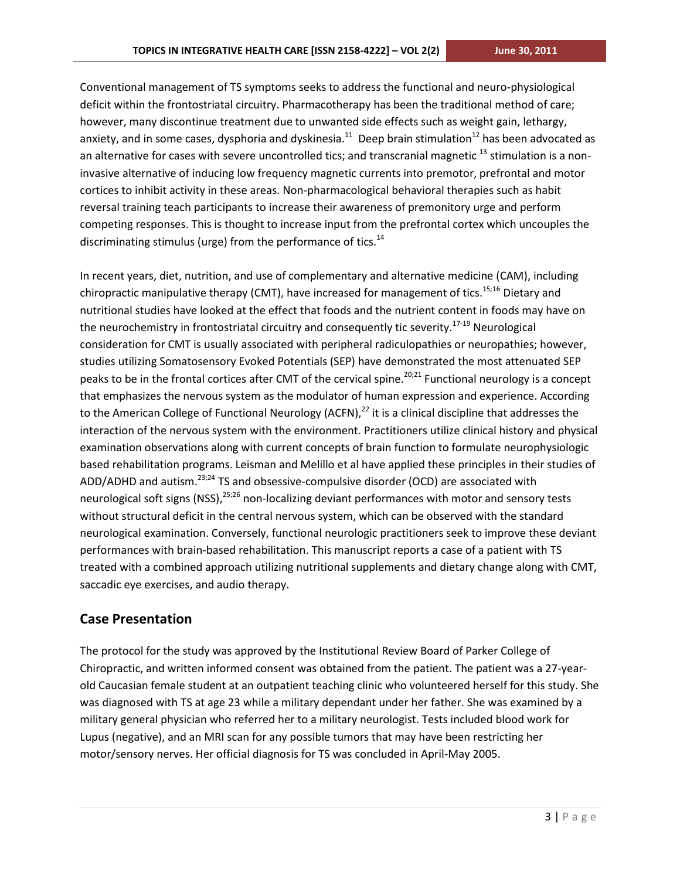Conventional management of TS symptoms seeks to address the functional and neuro-physiological deficit within the frontostriatal circuitry. Pharmacotherapy has been the traditional method of care; however, many discontinue treatment due to unwanted side effects such as weight gain, lethargy, anxiety, and in some cases, dysphoria and dyskinesia.<sup>11</sup> Deep brain stimulation<sup>12</sup> has been advocated as an alternative for cases with severe uncontrolled tics; and transcranial magnetic  $^{13}$  stimulation is a noninvasive alternative of inducing low frequency magnetic currents into premotor, prefrontal and motor cortices to inhibit activity in these areas. Non-pharmacological behavioral therapies such as habit reversal training teach participants to increase their awareness of premonitory urge and perform competing responses. This is thought to increase input from the prefrontal cortex which uncouples the discriminating stimulus (urge) from the performance of tics. $14$ 

In recent years, diet, nutrition, and use of complementary and alternative medicine (CAM), including chiropractic manipulative therapy (CMT), have increased for management of tics.<sup>15;16</sup> Dietary and nutritional studies have looked at the effect that foods and the nutrient content in foods may have on the neurochemistry in frontostriatal circuitry and consequently tic severity.<sup>17-19</sup> Neurological consideration for CMT is usually associated with peripheral radiculopathies or neuropathies; however, studies utilizing Somatosensory Evoked Potentials (SEP) have demonstrated the most attenuated SEP peaks to be in the frontal cortices after CMT of the cervical spine.<sup>20;21</sup> Functional neurology is a concept that emphasizes the nervous system as the modulator of human expression and experience. According to the American College of Functional Neurology (ACFN), $^{22}$  it is a clinical discipline that addresses the interaction of the nervous system with the environment. Practitioners utilize clinical history and physical examination observations along with current concepts of brain function to formulate neurophysiologic based rehabilitation programs. Leisman and Melillo et al have applied these principles in their studies of ADD/ADHD and autism.<sup>23;24</sup> TS and obsessive-compulsive disorder (OCD) are associated with neurological soft signs (NSS),<sup>25;26</sup> non-localizing deviant performances with motor and sensory tests without structural deficit in the central nervous system, which can be observed with the standard neurological examination. Conversely, functional neurologic practitioners seek to improve these deviant performances with brain-based rehabilitation. This manuscript reports a case of a patient with TS treated with a combined approach utilizing nutritional supplements and dietary change along with CMT, saccadic eye exercises, and audio therapy.

#### **Case Presentation**

The protocol for the study was approved by the Institutional Review Board of Parker College of Chiropractic, and written informed consent was obtained from the patient. The patient was a 27-yearold Caucasian female student at an outpatient teaching clinic who volunteered herself for this study. She was diagnosed with TS at age 23 while a military dependant under her father. She was examined by a military general physician who referred her to a military neurologist. Tests included blood work for Lupus (negative), and an MRI scan for any possible tumors that may have been restricting her motor/sensory nerves. Her official diagnosis for TS was concluded in April-May 2005.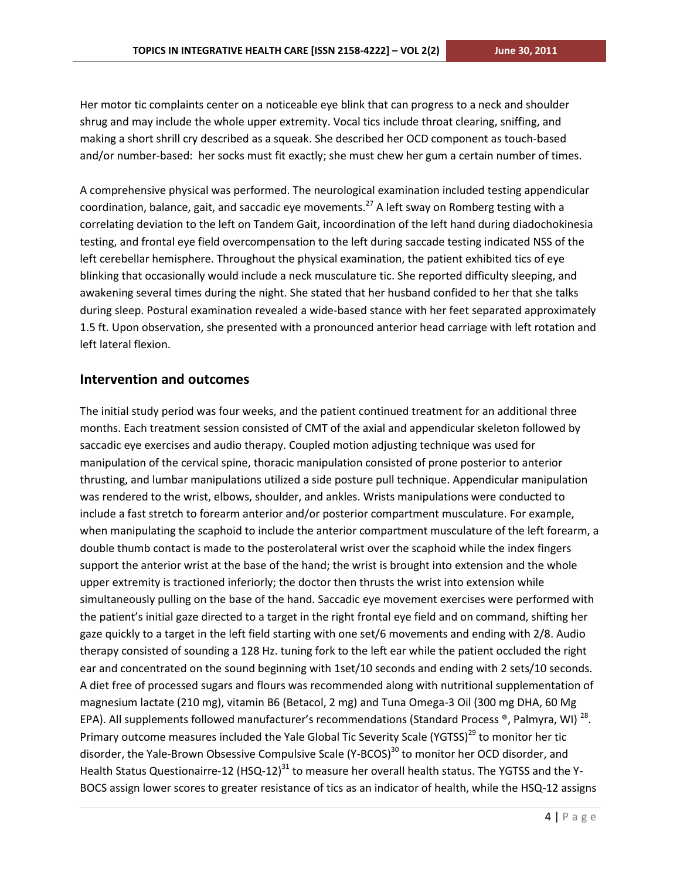Her motor tic complaints center on a noticeable eye blink that can progress to a neck and shoulder shrug and may include the whole upper extremity. Vocal tics include throat clearing, sniffing, and making a short shrill cry described as a squeak. She described her OCD component as touch-based and/or number-based: her socks must fit exactly; she must chew her gum a certain number of times.

A comprehensive physical was performed. The neurological examination included testing appendicular coordination, balance, gait, and saccadic eye movements.<sup>27</sup> A left sway on Romberg testing with a correlating deviation to the left on Tandem Gait, incoordination of the left hand during diadochokinesia testing, and frontal eye field overcompensation to the left during saccade testing indicated NSS of the left cerebellar hemisphere. Throughout the physical examination, the patient exhibited tics of eye blinking that occasionally would include a neck musculature tic. She reported difficulty sleeping, and awakening several times during the night. She stated that her husband confided to her that she talks during sleep. Postural examination revealed a wide-based stance with her feet separated approximately 1.5 ft. Upon observation, she presented with a pronounced anterior head carriage with left rotation and left lateral flexion.

#### **Intervention and outcomes**

The initial study period was four weeks, and the patient continued treatment for an additional three months. Each treatment session consisted of CMT of the axial and appendicular skeleton followed by saccadic eye exercises and audio therapy. Coupled motion adjusting technique was used for manipulation of the cervical spine, thoracic manipulation consisted of prone posterior to anterior thrusting, and lumbar manipulations utilized a side posture pull technique. Appendicular manipulation was rendered to the wrist, elbows, shoulder, and ankles. Wrists manipulations were conducted to include a fast stretch to forearm anterior and/or posterior compartment musculature. For example, when manipulating the scaphoid to include the anterior compartment musculature of the left forearm, a double thumb contact is made to the posterolateral wrist over the scaphoid while the index fingers support the anterior wrist at the base of the hand; the wrist is brought into extension and the whole upper extremity is tractioned inferiorly; the doctor then thrusts the wrist into extension while simultaneously pulling on the base of the hand. Saccadic eye movement exercises were performed with the patient's initial gaze directed to a target in the right frontal eye field and on command, shifting her gaze quickly to a target in the left field starting with one set/6 movements and ending with 2/8. Audio therapy consisted of sounding a 128 Hz. tuning fork to the left ear while the patient occluded the right ear and concentrated on the sound beginning with 1set/10 seconds and ending with 2 sets/10 seconds. A diet free of processed sugars and flours was recommended along with nutritional supplementation of magnesium lactate (210 mg), vitamin B6 (Betacol, 2 mg) and Tuna Omega-3 Oil (300 mg DHA, 60 Mg EPA). All supplements followed manufacturer's recommendations (Standard Process ®, Palmyra, WI) <sup>28</sup>. Primary outcome measures included the Yale Global Tic Severity Scale (YGTSS)<sup>29</sup> to monitor her tic disorder, the Yale-Brown Obsessive Compulsive Scale (Y-BCOS)<sup>30</sup> to monitor her OCD disorder, and Health Status Questionairre-12 (HSQ-12)<sup>31</sup> to measure her overall health status. The YGTSS and the Y-BOCS assign lower scores to greater resistance of tics as an indicator of health, while the HSQ-12 assigns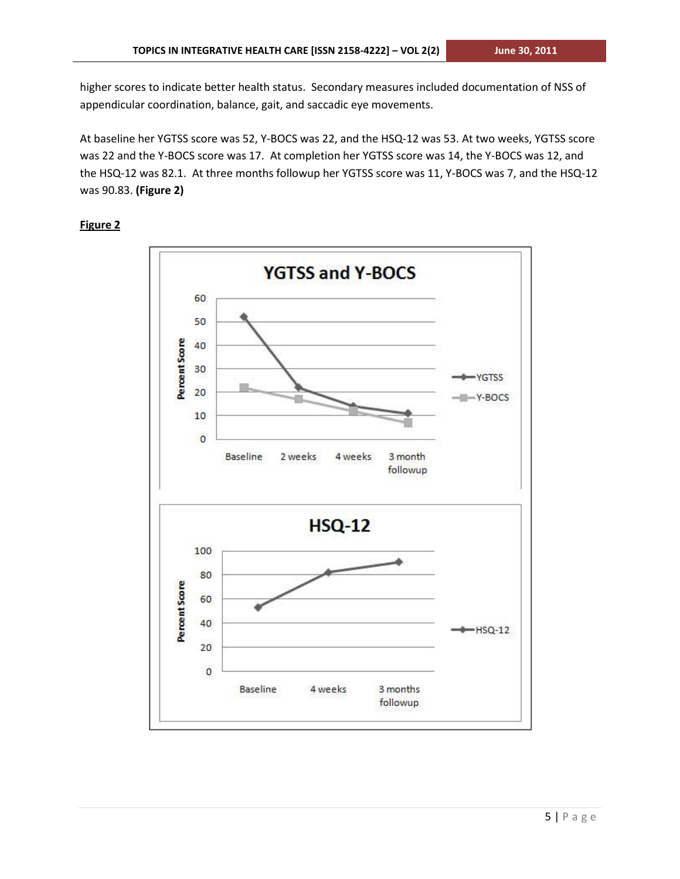higher scores to indicate better health status. Secondary measures included documentation of NSS of appendicular coordination, balance, gait, and saccadic eye movements.

At baseline her YGTSS score was 52, Y-BOCS was 22, and the HSQ-12 was 53. At two weeks, YGTSS score was 22 and the Y-BOCS score was 17. At completion her YGTSS score was 14, the Y-BOCS was 12, and the HSQ-12 was 82.1. At three months followup her YGTSS score was 11, Y-BOCS was 7, and the HSQ-12 was 90.83. **(Figure 2)** 

#### **Figure 2**

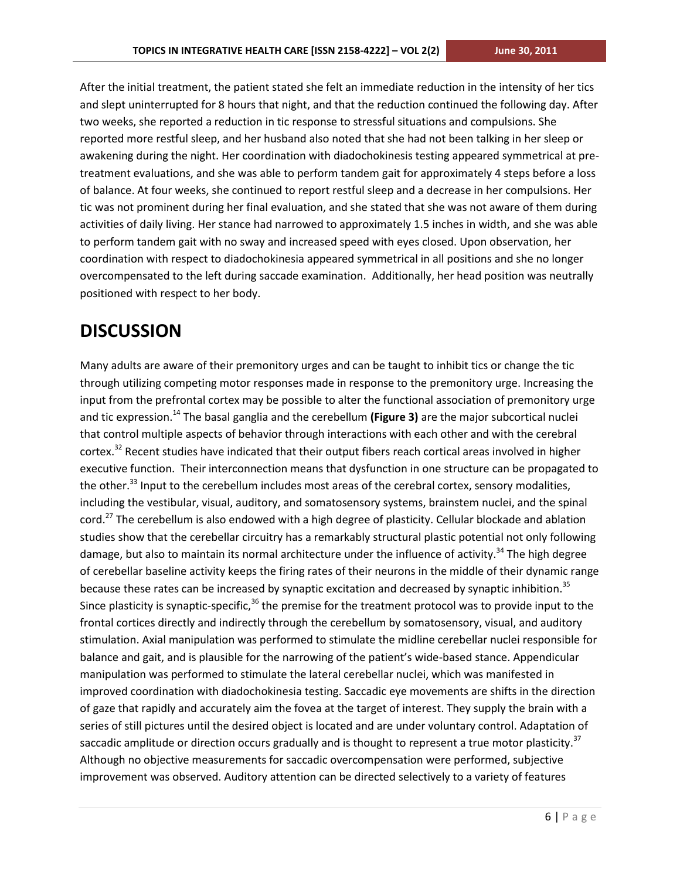After the initial treatment, the patient stated she felt an immediate reduction in the intensity of her tics and slept uninterrupted for 8 hours that night, and that the reduction continued the following day. After two weeks, she reported a reduction in tic response to stressful situations and compulsions. She reported more restful sleep, and her husband also noted that she had not been talking in her sleep or awakening during the night. Her coordination with diadochokinesis testing appeared symmetrical at pretreatment evaluations, and she was able to perform tandem gait for approximately 4 steps before a loss of balance. At four weeks, she continued to report restful sleep and a decrease in her compulsions. Her tic was not prominent during her final evaluation, and she stated that she was not aware of them during activities of daily living. Her stance had narrowed to approximately 1.5 inches in width, and she was able to perform tandem gait with no sway and increased speed with eyes closed. Upon observation, her coordination with respect to diadochokinesia appeared symmetrical in all positions and she no longer overcompensated to the left during saccade examination. Additionally, her head position was neutrally positioned with respect to her body.

### **DISCUSSION**

Many adults are aware of their premonitory urges and can be taught to inhibit tics or change the tic through utilizing competing motor responses made in response to the premonitory urge. Increasing the input from the prefrontal cortex may be possible to alter the functional association of premonitory urge and tic expression.<sup>14</sup> The basal ganglia and the cerebellum **(Figure 3)** are the major subcortical nuclei that control multiple aspects of behavior through interactions with each other and with the cerebral cortex.<sup>32</sup> Recent studies have indicated that their output fibers reach cortical areas involved in higher executive function. Their interconnection means that dysfunction in one structure can be propagated to the other.<sup>33</sup> Input to the cerebellum includes most areas of the cerebral cortex, sensory modalities, including the vestibular, visual, auditory, and somatosensory systems, brainstem nuclei, and the spinal cord.<sup>27</sup> The cerebellum is also endowed with a high degree of plasticity. Cellular blockade and ablation studies show that the cerebellar circuitry has a remarkably structural plastic potential not only following damage, but also to maintain its normal architecture under the influence of activity.<sup>34</sup> The high degree of cerebellar baseline activity keeps the firing rates of their neurons in the middle of their dynamic range because these rates can be increased by synaptic excitation and decreased by synaptic inhibition.<sup>35</sup> Since plasticity is synaptic-specific, $36$  the premise for the treatment protocol was to provide input to the frontal cortices directly and indirectly through the cerebellum by somatosensory, visual, and auditory stimulation. Axial manipulation was performed to stimulate the midline cerebellar nuclei responsible for balance and gait, and is plausible for the narrowing of the patient's wide-based stance. Appendicular manipulation was performed to stimulate the lateral cerebellar nuclei, which was manifested in improved coordination with diadochokinesia testing. Saccadic eye movements are shifts in the direction of gaze that rapidly and accurately aim the fovea at the target of interest. They supply the brain with a series of still pictures until the desired object is located and are under voluntary control. Adaptation of saccadic amplitude or direction occurs gradually and is thought to represent a true motor plasticity.<sup>37</sup> Although no objective measurements for saccadic overcompensation were performed, subjective improvement was observed. Auditory attention can be directed selectively to a variety of features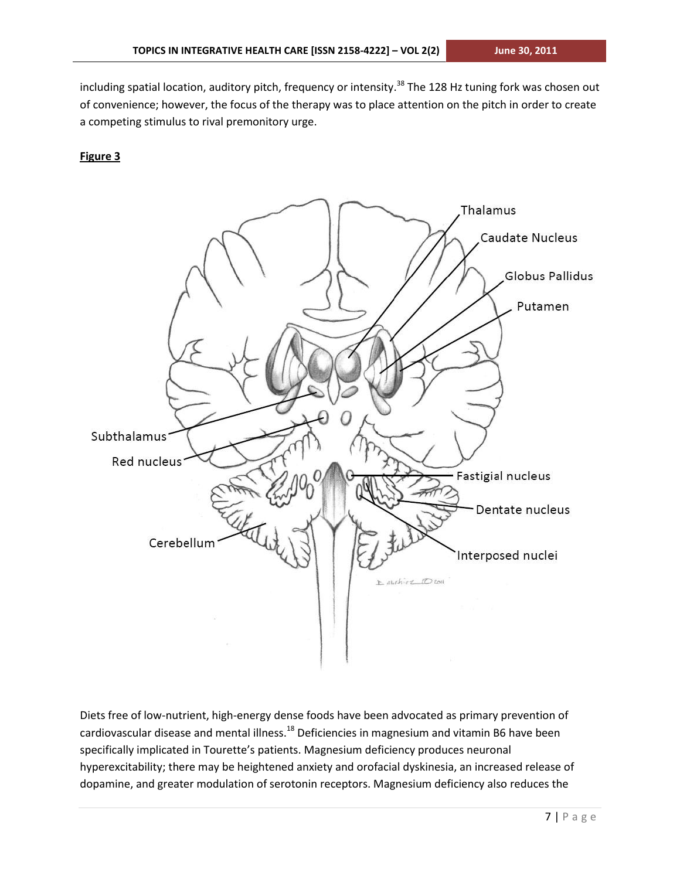including spatial location, auditory pitch, frequency or intensity.<sup>38</sup> The 128 Hz tuning fork was chosen out of convenience; however, the focus of the therapy was to place attention on the pitch in order to create a competing stimulus to rival premonitory urge.

#### **Figure 3**



Diets free of low-nutrient, high-energy dense foods have been advocated as primary prevention of cardiovascular disease and mental illness.<sup>18</sup> Deficiencies in magnesium and vitamin B6 have been specifically implicated in Tourette's patients. Magnesium deficiency produces neuronal hyperexcitability; there may be heightened anxiety and orofacial dyskinesia, an increased release of dopamine, and greater modulation of serotonin receptors. Magnesium deficiency also reduces the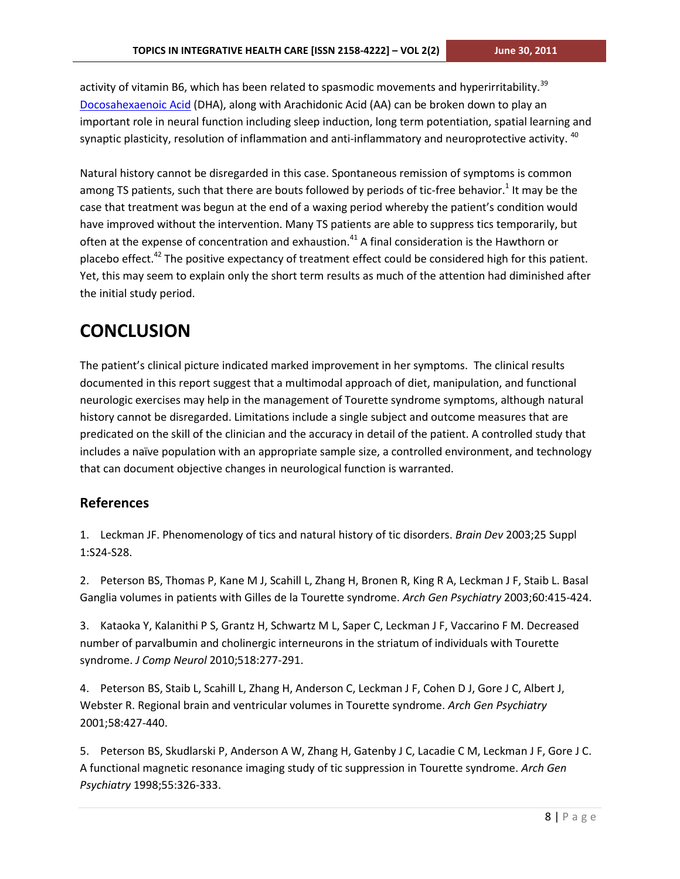activity of vitamin B6, which has been related to spasmodic movements and hyperirritability.<sup>39</sup> [Docosahexaenoic Acid](http://en.wikipedia.org/wiki/Docosahexaenoic_acid) (DHA), along with Arachidonic Acid (AA) can be broken down to play an important role in neural function including sleep induction, long term potentiation, spatial learning and synaptic plasticity, resolution of inflammation and anti-inflammatory and neuroprotective activity. <sup>40</sup>

Natural history cannot be disregarded in this case. Spontaneous remission of symptoms is common among TS patients, such that there are bouts followed by periods of tic-free behavior.<sup>1</sup> It may be the case that treatment was begun at the end of a waxing period whereby the patient's condition would have improved without the intervention. Many TS patients are able to suppress tics temporarily, but often at the expense of concentration and exhaustion.<sup>41</sup> A final consideration is the Hawthorn or placebo effect.<sup>42</sup> The positive expectancy of treatment effect could be considered high for this patient. Yet, this may seem to explain only the short term results as much of the attention had diminished after the initial study period.

## **CONCLUSION**

The patient's clinical picture indicated marked improvement in her symptoms. The clinical results documented in this report suggest that a multimodal approach of diet, manipulation, and functional neurologic exercises may help in the management of Tourette syndrome symptoms, although natural history cannot be disregarded. Limitations include a single subject and outcome measures that are predicated on the skill of the clinician and the accuracy in detail of the patient. A controlled study that includes a naïve population with an appropriate sample size, a controlled environment, and technology that can document objective changes in neurological function is warranted.

#### **References**

1. Leckman JF. Phenomenology of tics and natural history of tic disorders. *Brain Dev* 2003;25 Suppl 1:S24-S28.

2. Peterson BS, Thomas P, Kane M J, Scahill L, Zhang H, Bronen R, King R A, Leckman J F, Staib L. Basal Ganglia volumes in patients with Gilles de la Tourette syndrome. *Arch Gen Psychiatry* 2003;60:415-424.

3. Kataoka Y, Kalanithi P S, Grantz H, Schwartz M L, Saper C, Leckman J F, Vaccarino F M. Decreased number of parvalbumin and cholinergic interneurons in the striatum of individuals with Tourette syndrome. *J Comp Neurol* 2010;518:277-291.

4. Peterson BS, Staib L, Scahill L, Zhang H, Anderson C, Leckman J F, Cohen D J, Gore J C, Albert J, Webster R. Regional brain and ventricular volumes in Tourette syndrome. *Arch Gen Psychiatry* 2001;58:427-440.

5. Peterson BS, Skudlarski P, Anderson A W, Zhang H, Gatenby J C, Lacadie C M, Leckman J F, Gore J C. A functional magnetic resonance imaging study of tic suppression in Tourette syndrome. *Arch Gen Psychiatry* 1998;55:326-333.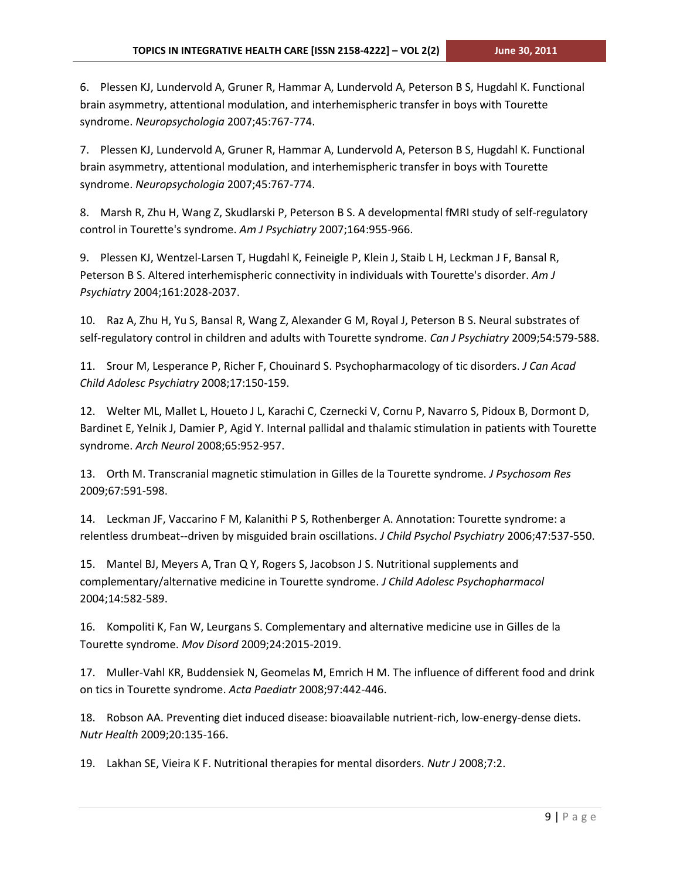6. Plessen KJ, Lundervold A, Gruner R, Hammar A, Lundervold A, Peterson B S, Hugdahl K. Functional brain asymmetry, attentional modulation, and interhemispheric transfer in boys with Tourette syndrome. *Neuropsychologia* 2007;45:767-774.

7. Plessen KJ, Lundervold A, Gruner R, Hammar A, Lundervold A, Peterson B S, Hugdahl K. Functional brain asymmetry, attentional modulation, and interhemispheric transfer in boys with Tourette syndrome. *Neuropsychologia* 2007;45:767-774.

8. Marsh R, Zhu H, Wang Z, Skudlarski P, Peterson B S. A developmental fMRI study of self-regulatory control in Tourette's syndrome. *Am J Psychiatry* 2007;164:955-966.

9. Plessen KJ, Wentzel-Larsen T, Hugdahl K, Feineigle P, Klein J, Staib L H, Leckman J F, Bansal R, Peterson B S. Altered interhemispheric connectivity in individuals with Tourette's disorder. *Am J Psychiatry* 2004;161:2028-2037.

10. Raz A, Zhu H, Yu S, Bansal R, Wang Z, Alexander G M, Royal J, Peterson B S. Neural substrates of self-regulatory control in children and adults with Tourette syndrome. *Can J Psychiatry* 2009;54:579-588.

11. Srour M, Lesperance P, Richer F, Chouinard S. Psychopharmacology of tic disorders. *J Can Acad Child Adolesc Psychiatry* 2008;17:150-159.

12. Welter ML, Mallet L, Houeto J L, Karachi C, Czernecki V, Cornu P, Navarro S, Pidoux B, Dormont D, Bardinet E, Yelnik J, Damier P, Agid Y. Internal pallidal and thalamic stimulation in patients with Tourette syndrome. *Arch Neurol* 2008;65:952-957.

13. Orth M. Transcranial magnetic stimulation in Gilles de la Tourette syndrome. *J Psychosom Res* 2009;67:591-598.

14. Leckman JF, Vaccarino F M, Kalanithi P S, Rothenberger A. Annotation: Tourette syndrome: a relentless drumbeat--driven by misguided brain oscillations. *J Child Psychol Psychiatry* 2006;47:537-550.

15. Mantel BJ, Meyers A, Tran Q Y, Rogers S, Jacobson J S. Nutritional supplements and complementary/alternative medicine in Tourette syndrome. *J Child Adolesc Psychopharmacol* 2004;14:582-589.

16. Kompoliti K, Fan W, Leurgans S. Complementary and alternative medicine use in Gilles de la Tourette syndrome. *Mov Disord* 2009;24:2015-2019.

17. Muller-Vahl KR, Buddensiek N, Geomelas M, Emrich H M. The influence of different food and drink on tics in Tourette syndrome. *Acta Paediatr* 2008;97:442-446.

18. Robson AA. Preventing diet induced disease: bioavailable nutrient-rich, low-energy-dense diets. *Nutr Health* 2009;20:135-166.

19. Lakhan SE, Vieira K F. Nutritional therapies for mental disorders. *Nutr J* 2008;7:2.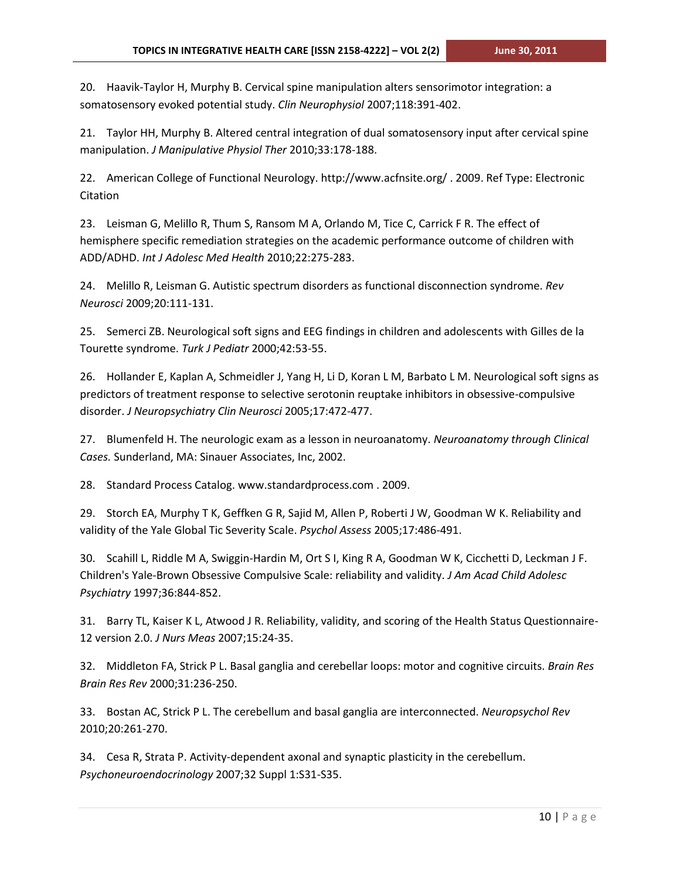20. Haavik-Taylor H, Murphy B. Cervical spine manipulation alters sensorimotor integration: a somatosensory evoked potential study. *Clin Neurophysiol* 2007;118:391-402.

21. Taylor HH, Murphy B. Altered central integration of dual somatosensory input after cervical spine manipulation. *J Manipulative Physiol Ther* 2010;33:178-188.

22. American College of Functional Neurology. http://www.acfnsite.org/ . 2009. Ref Type: Electronic Citation

23. Leisman G, Melillo R, Thum S, Ransom M A, Orlando M, Tice C, Carrick F R. The effect of hemisphere specific remediation strategies on the academic performance outcome of children with ADD/ADHD. *Int J Adolesc Med Health* 2010;22:275-283.

24. Melillo R, Leisman G. Autistic spectrum disorders as functional disconnection syndrome. *Rev Neurosci* 2009;20:111-131.

25. Semerci ZB. Neurological soft signs and EEG findings in children and adolescents with Gilles de la Tourette syndrome. *Turk J Pediatr* 2000;42:53-55.

26. Hollander E, Kaplan A, Schmeidler J, Yang H, Li D, Koran L M, Barbato L M. Neurological soft signs as predictors of treatment response to selective serotonin reuptake inhibitors in obsessive-compulsive disorder. *J Neuropsychiatry Clin Neurosci* 2005;17:472-477.

27. Blumenfeld H. The neurologic exam as a lesson in neuroanatomy. *Neuroanatomy through Clinical Cases.* Sunderland, MA: Sinauer Associates, Inc, 2002.

28. Standard Process Catalog. www.standardprocess.com . 2009.

29. Storch EA, Murphy T K, Geffken G R, Sajid M, Allen P, Roberti J W, Goodman W K. Reliability and validity of the Yale Global Tic Severity Scale. *Psychol Assess* 2005;17:486-491.

30. Scahill L, Riddle M A, Swiggin-Hardin M, Ort S I, King R A, Goodman W K, Cicchetti D, Leckman J F. Children's Yale-Brown Obsessive Compulsive Scale: reliability and validity. *J Am Acad Child Adolesc Psychiatry* 1997;36:844-852.

31. Barry TL, Kaiser K L, Atwood J R. Reliability, validity, and scoring of the Health Status Questionnaire-12 version 2.0. *J Nurs Meas* 2007;15:24-35.

32. Middleton FA, Strick P L. Basal ganglia and cerebellar loops: motor and cognitive circuits. *Brain Res Brain Res Rev* 2000;31:236-250.

33. Bostan AC, Strick P L. The cerebellum and basal ganglia are interconnected. *Neuropsychol Rev* 2010;20:261-270.

34. Cesa R, Strata P. Activity-dependent axonal and synaptic plasticity in the cerebellum. *Psychoneuroendocrinology* 2007;32 Suppl 1:S31-S35.